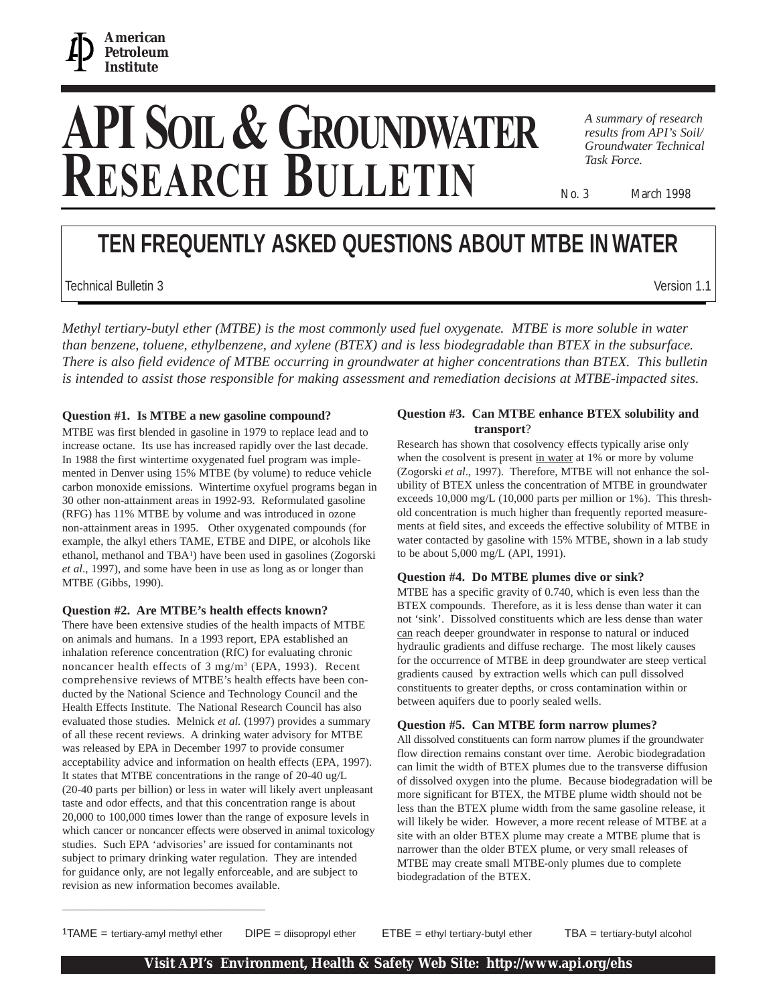

# **API SOIL& GROUNDWATER RESEARCH BULLETIN**

*A summary of research results from API's Soil/ Groundwater Technical Task Force.*

No. 3 March 1998

## **TEN FREQUENTLY ASKED QUESTIONS ABOUT MTBE IN WATER**

Technical Bulletin 3 Version 1.1

*Methyl tertiary-butyl ether (MTBE) is the most commonly used fuel oxygenate. MTBE is more soluble in water than benzene, toluene, ethylbenzene, and xylene (BTEX) and is less biodegradable than BTEX in the subsurface. There is also field evidence of MTBE occurring in groundwater at higher concentrations than BTEX. This bulletin is intended to assist those responsible for making assessment and remediation decisions at MTBE-impacted sites.*

#### **Question #1. Is MTBE a new gasoline compound?**

MTBE was first blended in gasoline in 1979 to replace lead and to increase octane. Its use has increased rapidly over the last decade. In 1988 the first wintertime oxygenated fuel program was implemented in Denver using 15% MTBE (by volume) to reduce vehicle carbon monoxide emissions. Wintertime oxyfuel programs began in 30 other non-attainment areas in 1992-93. Reformulated gasoline (RFG) has 11% MTBE by volume and was introduced in ozone non-attainment areas in 1995. Other oxygenated compounds (for example, the alkyl ethers TAME, ETBE and DIPE, or alcohols like ethanol, methanol and TBA1) have been used in gasolines (Zogorski *et al*., 1997), and some have been in use as long as or longer than MTBE (Gibbs, 1990).

#### **Question #2. Are MTBE's health effects known?**

There have been extensive studies of the health impacts of MTBE on animals and humans. In a 1993 report, EPA established an inhalation reference concentration (RfC) for evaluating chronic noncancer health effects of 3 mg/m<sup>3</sup> (EPA, 1993). Recent comprehensive reviews of MTBE's health effects have been conducted by the National Science and Technology Council and the Health Effects Institute. The National Research Council has also evaluated those studies. Melnick *et al.* (1997) provides a summary of all these recent reviews. A drinking water advisory for MTBE was released by EPA in December 1997 to provide consumer acceptability advice and information on health effects (EPA, 1997). It states that MTBE concentrations in the range of 20-40 ug/L (20-40 parts per billion) or less in water will likely avert unpleasant taste and odor effects, and that this concentration range is about 20,000 to 100,000 times lower than the range of exposure levels in which cancer or noncancer effects were observed in animal toxicology studies. Such EPA 'advisories' are issued for contaminants not subject to primary drinking water regulation. They are intended for guidance only, are not legally enforceable, and are subject to revision as new information becomes available.

**\_\_\_\_\_\_\_\_\_\_\_\_\_\_\_\_\_\_\_\_\_\_\_\_\_\_\_\_\_\_\_\_**

#### **Question #3. Can MTBE enhance BTEX solubility and transport**?

Research has shown that cosolvency effects typically arise only when the cosolvent is present in water at 1% or more by volume (Zogorski *et al*., 1997). Therefore, MTBE will not enhance the solubility of BTEX unless the concentration of MTBE in groundwater exceeds 10,000 mg/L (10,000 parts per million or 1%). This threshold concentration is much higher than frequently reported measurements at field sites, and exceeds the effective solubility of MTBE in water contacted by gasoline with 15% MTBE, shown in a lab study to be about 5,000 mg/L (API, 1991).

#### **Question #4. Do MTBE plumes dive or sink?**

MTBE has a specific gravity of 0.740, which is even less than the BTEX compounds. Therefore, as it is less dense than water it can not 'sink'. Dissolved constituents which are less dense than water can reach deeper groundwater in response to natural or induced hydraulic gradients and diffuse recharge. The most likely causes for the occurrence of MTBE in deep groundwater are steep vertical gradients caused by extraction wells which can pull dissolved constituents to greater depths, or cross contamination within or between aquifers due to poorly sealed wells.

#### **Question #5. Can MTBE form narrow plumes?**

All dissolved constituents can form narrow plumes if the groundwater flow direction remains constant over time. Aerobic biodegradation can limit the width of BTEX plumes due to the transverse diffusion of dissolved oxygen into the plume. Because biodegradation will be more significant for BTEX, the MTBE plume width should not be less than the BTEX plume width from the same gasoline release, it will likely be wider. However, a more recent release of MTBE at a site with an older BTEX plume may create a MTBE plume that is narrower than the older BTEX plume, or very small releases of MTBE may create small MTBE-only plumes due to complete biodegradation of the BTEX.

<sup>1</sup>TAME = tertiary-amyl methyl ether DIPE = diisopropyl ether ETBE = ethyl tertiary-butyl ether TBA = tertiary-butyl alcohol